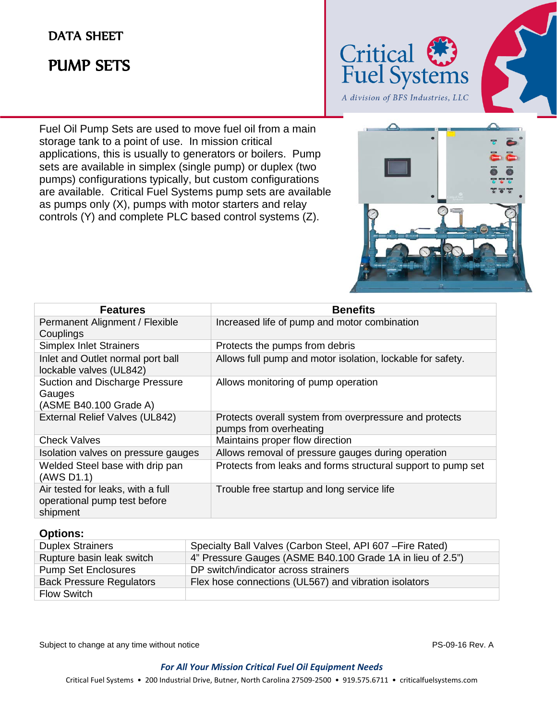## DATA SHEET

# PUMP SETS

j



Fuel Oil Pump Sets are used to move fuel oil from a main storage tank to a point of use. In mission critical applications, this is usually to generators or boilers. Pump sets are available in simplex (single pump) or duplex (two pumps) configurations typically, but custom configurations are available. Critical Fuel Systems pump sets are available as pumps only (X), pumps with motor starters and relay controls (Y) and complete PLC based control systems (Z).



| <b>Features</b>                                                               | <b>Benefits</b>                                                                  |
|-------------------------------------------------------------------------------|----------------------------------------------------------------------------------|
| Permanent Alignment / Flexible<br>Couplings                                   | Increased life of pump and motor combination                                     |
| <b>Simplex Inlet Strainers</b>                                                | Protects the pumps from debris                                                   |
| Inlet and Outlet normal port ball<br>lockable valves (UL842)                  | Allows full pump and motor isolation, lockable for safety.                       |
| <b>Suction and Discharge Pressure</b><br>Gauges<br>(ASME B40.100 Grade A)     | Allows monitoring of pump operation                                              |
| External Relief Valves (UL842)                                                | Protects overall system from overpressure and protects<br>pumps from overheating |
| <b>Check Valves</b>                                                           | Maintains proper flow direction                                                  |
| Isolation valves on pressure gauges                                           | Allows removal of pressure gauges during operation                               |
| Welded Steel base with drip pan<br>(AWS D1.1)                                 | Protects from leaks and forms structural support to pump set                     |
| Air tested for leaks, with a full<br>operational pump test before<br>shipment | Trouble free startup and long service life                                       |

### **Options:**

| <b>Duplex Strainers</b>         | Specialty Ball Valves (Carbon Steel, API 607 - Fire Rated) |
|---------------------------------|------------------------------------------------------------|
| Rupture basin leak switch       | 4" Pressure Gauges (ASME B40.100 Grade 1A in lieu of 2.5") |
| <b>Pump Set Enclosures</b>      | DP switch/indicator across strainers                       |
| <b>Back Pressure Regulators</b> | Flex hose connections (UL567) and vibration isolators      |
| <b>Flow Switch</b>              |                                                            |

Subject to change at any time without notice **PS-09-16 Rev. A** PS-09-16 Rev. A

#### *For All Your Mission Critical Fuel Oil Equipment Needs*